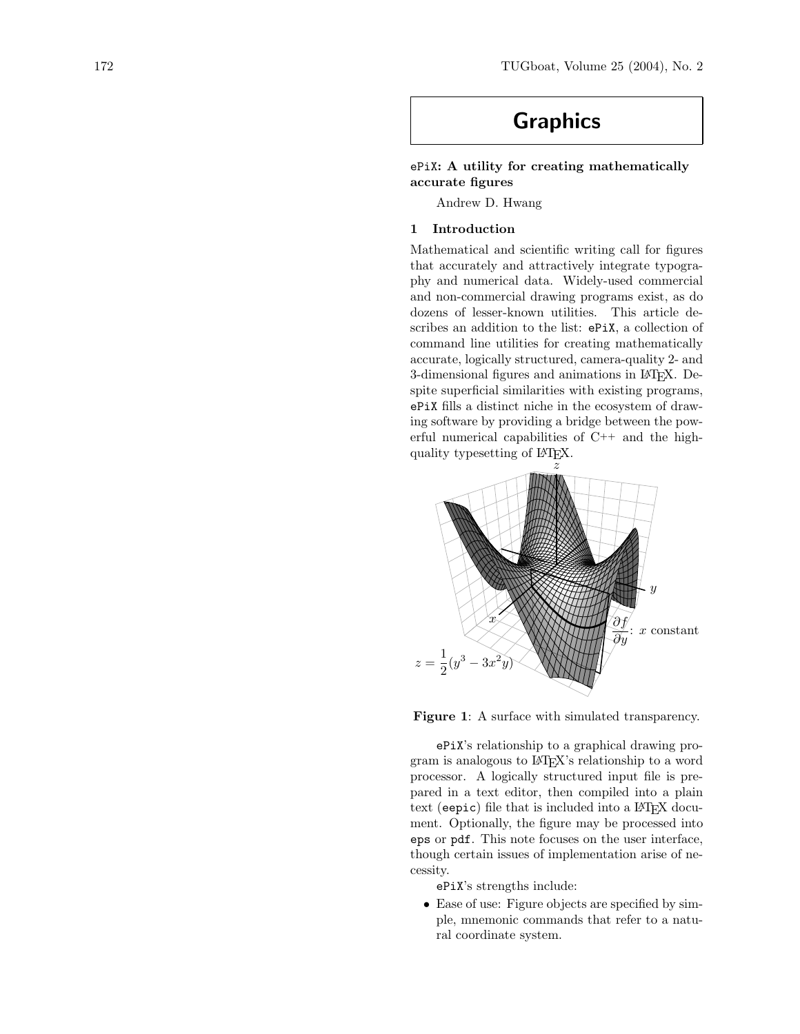# Graphics

## ePiX: A utility for creating mathematically accurate figures

Andrew D. Hwang

## 1 Introduction

Mathematical and scientific writing call for figures that accurately and attractively integrate typography and numerical data. Widely-used commercial and non-commercial drawing programs exist, as do dozens of lesser-known utilities. This article describes an addition to the list: ePiX, a collection of command line utilities for creating mathematically accurate, logically structured, camera-quality 2- and 3-dimensional figures and animations in LATEX. Despite superficial similarities with existing programs, ePiX fills a distinct niche in the ecosystem of drawing software by providing a bridge between the powerful numerical capabilities of C++ and the highquality typesetting of L<sup>A</sup>TEX.



Figure 1: A surface with simulated transparency.

ePiX's relationship to a graphical drawing program is analogous to L<sup>A</sup>TEX's relationship to a word processor. A logically structured input file is prepared in a text editor, then compiled into a plain text (eepic) file that is included into a LAT<sub>EX</sub> document. Optionally, the figure may be processed into eps or pdf. This note focuses on the user interface, though certain issues of implementation arise of necessity.

ePiX's strengths include:

• Ease of use: Figure objects are specified by simple, mnemonic commands that refer to a natural coordinate system.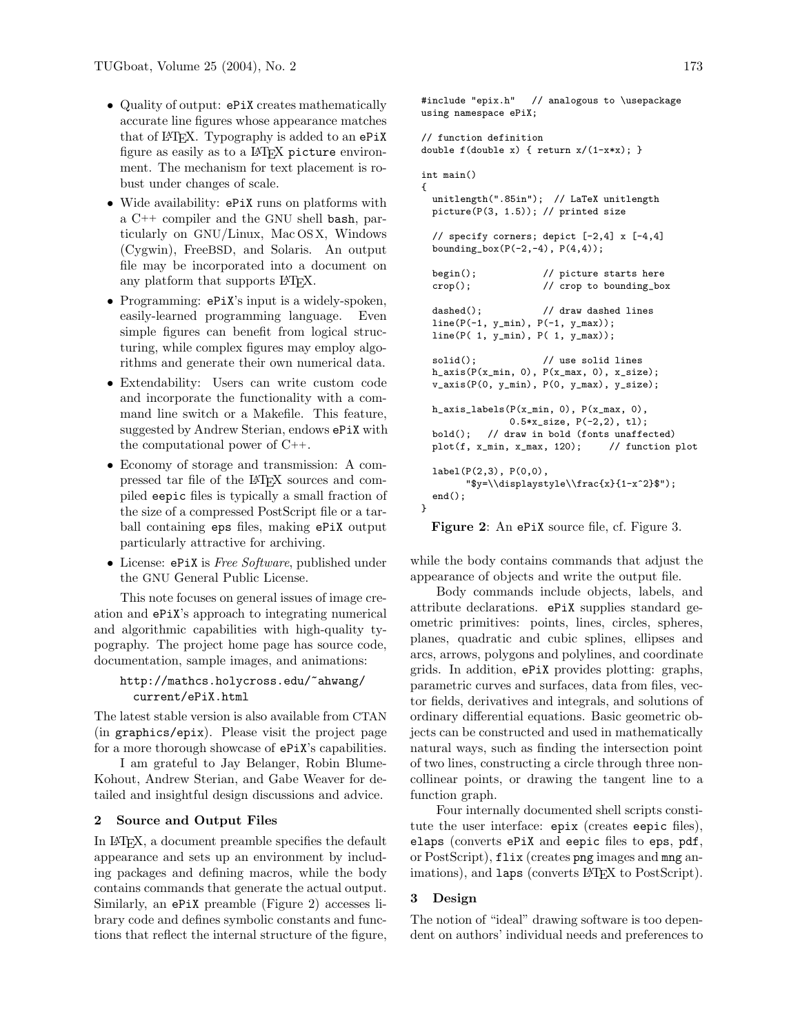- Quality of output: ePiX creates mathematically accurate line figures whose appearance matches that of LATEX. Typography is added to an ePiX figure as easily as to a L<sup>AT</sup>FX picture environment. The mechanism for text placement is robust under changes of scale.
- Wide availability: ePiX runs on platforms with a C++ compiler and the GNU shell bash, particularly on GNU/Linux, Mac OS X, Windows (Cygwin), FreeBSD, and Solaris. An output file may be incorporated into a document on any platform that supports IATFX.
- Programming: ePiX's input is a widely-spoken, easily-learned programming language. Even simple figures can benefit from logical structuring, while complex figures may employ algorithms and generate their own numerical data.
- Extendability: Users can write custom code and incorporate the functionality with a command line switch or a Makefile. This feature, suggested by Andrew Sterian, endows ePiX with the computational power of C++.
- Economy of storage and transmission: A compressed tar file of the LATEX sources and compiled eepic files is typically a small fraction of the size of a compressed PostScript file or a tarball containing eps files, making ePiX output particularly attractive for archiving.
- License: ePiX is Free Software, published under the GNU General Public License.

This note focuses on general issues of image creation and ePiX's approach to integrating numerical and algorithmic capabilities with high-quality typography. The project home page has source code, documentation, sample images, and animations:

```
http://mathcs.holycross.edu/~ahwang/
  current/ePiX.html
```
The latest stable version is also available from CTAN (in graphics/epix). Please visit the project page for a more thorough showcase of ePiX's capabilities.

I am grateful to Jay Belanger, Robin Blume-Kohout, Andrew Sterian, and Gabe Weaver for detailed and insightful design discussions and advice.

#### 2 Source and Output Files

In L<sup>A</sup>TEX, a document preamble specifies the default appearance and sets up an environment by including packages and defining macros, while the body contains commands that generate the actual output. Similarly, an ePiX preamble (Figure 2) accesses library code and defines symbolic constants and functions that reflect the internal structure of the figure,

```
#include "epix.h" // analogous to \usepackage
using namespace ePiX;
// function definition
double f(double x) { return x/(1-x*x); }int main()
{
 unitlength(".85in"); // LaTeX unitlength
 picture(P(3, 1.5)); // printed size
  // specify corners; depict [-2,4] x [-4,4]
 bounding_box(P(-2,-4), P(4,4));
 begin(); \frac{1}{2} // picture starts here
 crop(); // crop to bounding_box
 dashed(); \frac{1}{2} // draw dashed lines
 line(P(-1, y_{min}), P(-1, y_{max}));
 line(P( 1, y_min), P( 1, y_max));
 solid(); // use solid lines
 h_axis(P(x=min, 0), P(x_max, 0), x_size);v_axis(P(0, y=min), P(0, y_max), y_size);h_axis_labels(P(x_min, 0), P(x_max, 0),
               0.5*x_size, P(-2,2), tl);
 bold(); // draw in bold (fonts unaffected)
 plot(f, x_min, x_max, 120); // function plot
 label(P(2,3), P(0,0),
        "$y=\\displaystyle\\frac{x}{1-x^2}$");
 end();
}
```
Figure 2: An ePiX source file, cf. Figure 3.

while the body contains commands that adjust the appearance of objects and write the output file.

Body commands include objects, labels, and attribute declarations. ePiX supplies standard geometric primitives: points, lines, circles, spheres, planes, quadratic and cubic splines, ellipses and arcs, arrows, polygons and polylines, and coordinate grids. In addition, ePiX provides plotting: graphs, parametric curves and surfaces, data from files, vector fields, derivatives and integrals, and solutions of ordinary differential equations. Basic geometric objects can be constructed and used in mathematically natural ways, such as finding the intersection point of two lines, constructing a circle through three noncollinear points, or drawing the tangent line to a function graph.

Four internally documented shell scripts constitute the user interface: epix (creates eepic files), elaps (converts ePiX and eepic files to eps, pdf, or PostScript), flix (creates png images and mng animations), and laps (converts L<sup>AT</sup>EX to PostScript).

#### 3 Design

The notion of "ideal" drawing software is too dependent on authors' individual needs and preferences to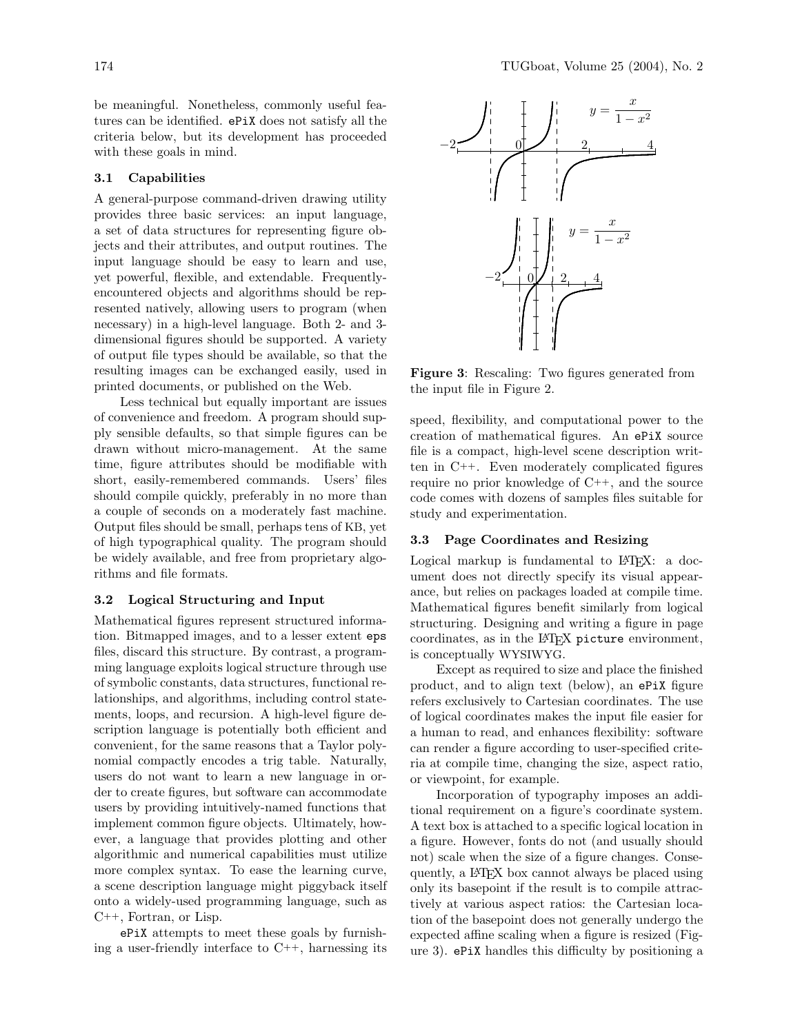be meaningful. Nonetheless, commonly useful features can be identified. ePiX does not satisfy all the criteria below, but its development has proceeded with these goals in mind.

### 3.1 Capabilities

A general-purpose command-driven drawing utility provides three basic services: an input language, a set of data structures for representing figure objects and their attributes, and output routines. The input language should be easy to learn and use, yet powerful, flexible, and extendable. Frequentlyencountered objects and algorithms should be represented natively, allowing users to program (when necessary) in a high-level language. Both 2- and 3 dimensional figures should be supported. A variety of output file types should be available, so that the resulting images can be exchanged easily, used in printed documents, or published on the Web.

Less technical but equally important are issues of convenience and freedom. A program should supply sensible defaults, so that simple figures can be drawn without micro-management. At the same time, figure attributes should be modifiable with short, easily-remembered commands. Users' files should compile quickly, preferably in no more than a couple of seconds on a moderately fast machine. Output files should be small, perhaps tens of KB, yet of high typographical quality. The program should be widely available, and free from proprietary algorithms and file formats.

### 3.2 Logical Structuring and Input

Mathematical figures represent structured information. Bitmapped images, and to a lesser extent eps files, discard this structure. By contrast, a programming language exploits logical structure through use of symbolic constants, data structures, functional relationships, and algorithms, including control statements, loops, and recursion. A high-level figure description language is potentially both efficient and convenient, for the same reasons that a Taylor polynomial compactly encodes a trig table. Naturally, users do not want to learn a new language in order to create figures, but software can accommodate users by providing intuitively-named functions that implement common figure objects. Ultimately, however, a language that provides plotting and other algorithmic and numerical capabilities must utilize more complex syntax. To ease the learning curve, a scene description language might piggyback itself onto a widely-used programming language, such as C++, Fortran, or Lisp.

ePiX attempts to meet these goals by furnishing a user-friendly interface to C++, harnessing its



Figure 3: Rescaling: Two figures generated from the input file in Figure 2.

speed, flexibility, and computational power to the creation of mathematical figures. An ePiX source file is a compact, high-level scene description written in C++. Even moderately complicated figures require no prior knowledge of C++, and the source code comes with dozens of samples files suitable for study and experimentation.

## 3.3 Page Coordinates and Resizing

Logical markup is fundamental to  $\mathbb{P}\mathrm{Tr}X$ : a document does not directly specify its visual appearance, but relies on packages loaded at compile time. Mathematical figures benefit similarly from logical structuring. Designing and writing a figure in page coordinates, as in the L<sup>A</sup>TEX picture environment, is conceptually WYSIWYG.

Except as required to size and place the finished product, and to align text (below), an ePiX figure refers exclusively to Cartesian coordinates. The use of logical coordinates makes the input file easier for a human to read, and enhances flexibility: software can render a figure according to user-specified criteria at compile time, changing the size, aspect ratio, or viewpoint, for example.

Incorporation of typography imposes an additional requirement on a figure's coordinate system. A text box is attached to a specific logical location in a figure. However, fonts do not (and usually should not) scale when the size of a figure changes. Consequently, a L<sup>A</sup>TEX box cannot always be placed using only its basepoint if the result is to compile attractively at various aspect ratios: the Cartesian location of the basepoint does not generally undergo the expected affine scaling when a figure is resized (Figure 3). ePiX handles this difficulty by positioning a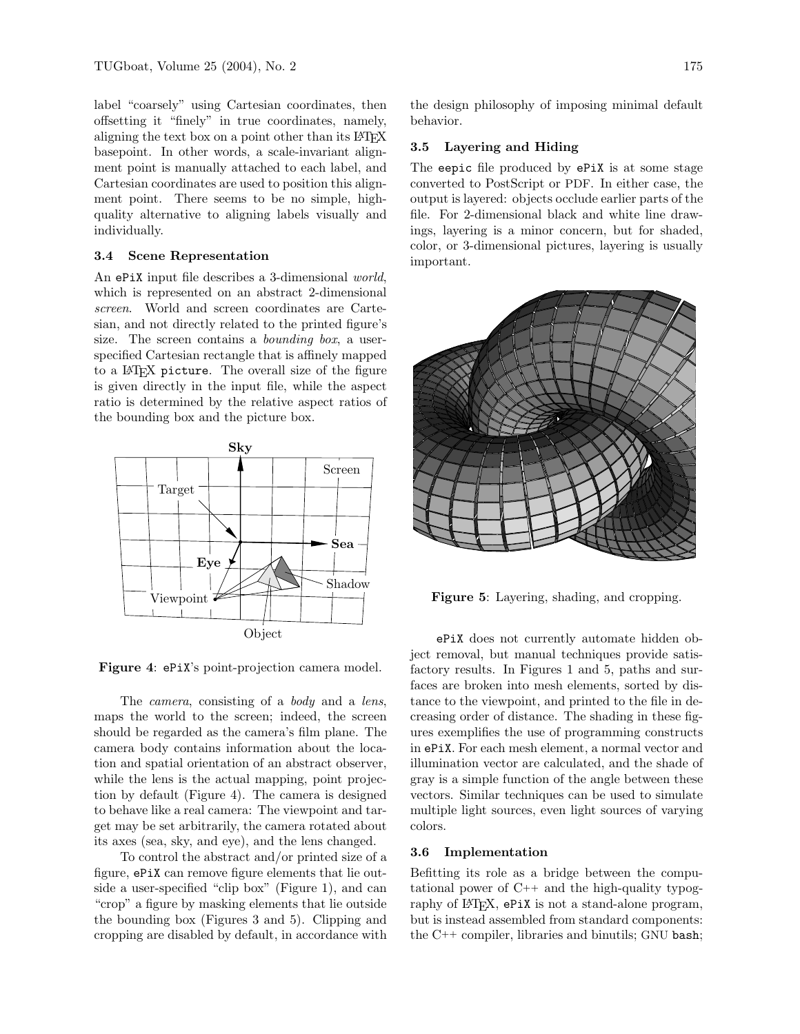label "coarsely" using Cartesian coordinates, then offsetting it "finely" in true coordinates, namely, aligning the text box on a point other than its LATEX basepoint. In other words, a scale-invariant alignment point is manually attached to each label, and Cartesian coordinates are used to position this alignment point. There seems to be no simple, highquality alternative to aligning labels visually and individually.

#### 3.4 Scene Representation

An ePiX input file describes a 3-dimensional world, which is represented on an abstract 2-dimensional screen. World and screen coordinates are Cartesian, and not directly related to the printed figure's size. The screen contains a *bounding box*, a userspecified Cartesian rectangle that is affinely mapped to a L<sup>AT</sup>FX picture. The overall size of the figure is given directly in the input file, while the aspect ratio is determined by the relative aspect ratios of the bounding box and the picture box.



Figure 4: ePiX's point-projection camera model.

The *camera*, consisting of a *body* and a *lens*, maps the world to the screen; indeed, the screen should be regarded as the camera's film plane. The camera body contains information about the location and spatial orientation of an abstract observer, while the lens is the actual mapping, point projection by default (Figure 4). The camera is designed to behave like a real camera: The viewpoint and target may be set arbitrarily, the camera rotated about its axes (sea, sky, and eye), and the lens changed.

To control the abstract and/or printed size of a figure, ePiX can remove figure elements that lie outside a user-specified "clip box" (Figure 1), and can "crop" a figure by masking elements that lie outside the bounding box (Figures 3 and 5). Clipping and cropping are disabled by default, in accordance with

the design philosophy of imposing minimal default behavior.

#### 3.5 Layering and Hiding

The eepic file produced by ePiX is at some stage converted to PostScript or PDF. In either case, the output is layered: objects occlude earlier parts of the file. For 2-dimensional black and white line drawings, layering is a minor concern, but for shaded, color, or 3-dimensional pictures, layering is usually important.



Figure 5: Layering, shading, and cropping.

ePiX does not currently automate hidden object removal, but manual techniques provide satisfactory results. In Figures 1 and 5, paths and surfaces are broken into mesh elements, sorted by distance to the viewpoint, and printed to the file in decreasing order of distance. The shading in these figures exemplifies the use of programming constructs in ePiX. For each mesh element, a normal vector and illumination vector are calculated, and the shade of gray is a simple function of the angle between these vectors. Similar techniques can be used to simulate multiple light sources, even light sources of varying colors.

#### 3.6 Implementation

Befitting its role as a bridge between the computational power of C++ and the high-quality typography of LATEX, ePiX is not a stand-alone program, but is instead assembled from standard components: the C++ compiler, libraries and binutils; GNU bash;